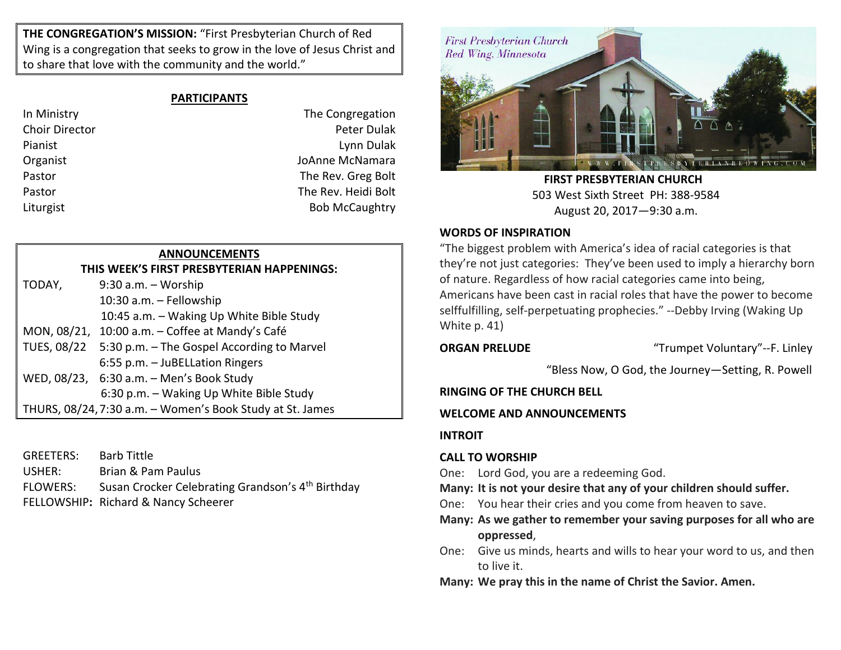**THE CONGREGATION'S MISSION:** "First Presbyterian Church of Red Wing is a congregation that seeks to grow in the love of Jesus Christ and to share that love with the community and the world."

# **PARTICIPANTS**

In Ministry **In Ministry The Congregation** Choir Director Peter Dulak Pianist Lynn Dulak Organist JoAnne McNamara Pastor **The Rev. Greg Bolt** Pastor **The Rev. Heidi Bolt** Liturgist **Bob McCaughtry** 

# **ANNOUNCEMENTS**

**THIS WEEK'S FIRST PRESBYTERIAN HAPPENINGS:** TODAY, 9:30 a.m. – Worship 10:30 a.m. – Fellowship 10:45 a.m. – Waking Up White Bible Study MON, 08/21, 10:00 a.m. – Coffee at Mandy's Café TUES, 08/22 5:30 p.m. – The Gospel According to Marvel 6:55 p.m. – JuBELLation Ringers WED, 08/23, 6:30 a.m. – Men's Book Study 6:30 p.m. – Waking Up White Bible Study THURS, 08/24,7:30 a.m. – Women's Book Study at St. James

GREETERS: Barb Tittle USHER: Brian & Pam Paulus FLOWERS: Susan Crocker Celebrating Grandson's 4<sup>th</sup> Birthday FELLOWSHIP**:** Richard & Nancy Scheerer



 **FIRST PRESBYTERIAN CHURCH** 503 West Sixth Street PH: 388-9584 August 20, 2017—9:30 a.m.

# **WORDS OF INSPIRATION**

"The biggest problem with America's idea of racial categories is that they're not just categories: They've been used to imply a hierarchy born of nature. Regardless of how racial categories came into being, Americans have been cast in racial roles that have the power to become selffulfilling, self-perpetuating prophecies." --Debby Irving (Waking Up White p. 41)

**ORGAN PRELUDE** "Trumpet Voluntary"--F. Linley

"Bless Now, O God, the Journey—Setting, R. Powell

# **RINGING OF THE CHURCH BELL**

# **WELCOME AND ANNOUNCEMENTS**

# **INTROIT**

# **CALL TO WORSHIP**

- One: Lord God, you are a redeeming God.
- **Many: It is not your desire that any of your children should suffer.**
- One: You hear their cries and you come from heaven to save.
- **Many: As we gather to remember your saving purposes for all who are oppressed**,
- One: Give us minds, hearts and wills to hear your word to us, and then to live it.
- **Many: We pray this in the name of Christ the Savior. Amen.**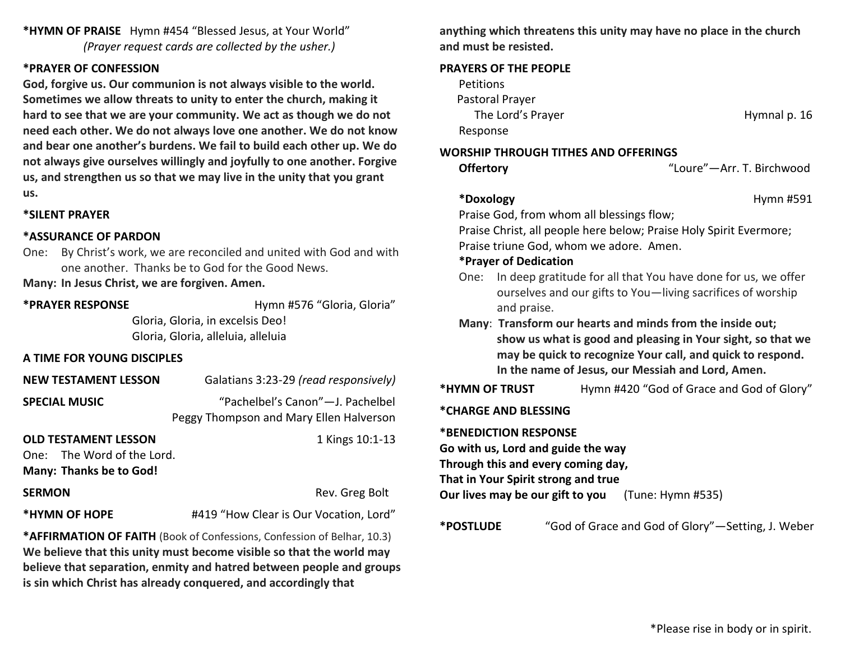**\*HYMN OF PRAISE** Hymn #454 "Blessed Jesus, at Your World" *(Prayer request cards are collected by the usher.)*

### **\*PRAYER OF CONFESSION**

**God, forgive us. Our communion is not always visible to the world. Sometimes we allow threats to unity to enter the church, making it hard to see that we are your community. We act as though we do not need each other. We do not always love one another. We do not know and bear one another's burdens. We fail to build each other up. We do not always give ourselves willingly and joyfully to one another. Forgive us, and strengthen us so that we may live in the unity that you grant us.**

### **\*SILENT PRAYER**

#### **\*ASSURANCE OF PARDON**

One: By Christ's work, we are reconciled and united with God and with one another. Thanks be to God for the Good News.

**Many: In Jesus Christ, we are forgiven. Amen.**

**\*PRAYER RESPONSE** Hymn #576 "Gloria, Gloria"

Gloria, Gloria, in excelsis Deo! Gloria, Gloria, alleluia, alleluia

## **A TIME FOR YOUNG DISCIPLES**

| <b>NEW TESTAMENT LESSON</b>   | Galatians 3:23-29 (read responsively)   |
|-------------------------------|-----------------------------------------|
| <b>SPECIAL MUSIC</b>          | "Pachelbel's Canon"-J. Pachelbel        |
|                               | Peggy Thompson and Mary Ellen Halverson |
| <b>OLD TESTAMENT LESSON</b>   | 1 Kings 10:1-13                         |
| $Ono: Tho$ $Mord$ of the lard |                                         |

One: The Word of the Lord. **Many: Thanks be to God!**

| SERMON |  |
|--------|--|
|--------|--|

**\*HYMN OF HOPE** #419 "How Clear is Our Vocation, Lord"

Rev. Greg Bolt

**\*AFFIRMATION OF FAITH** (Book of Confessions, Confession of Belhar, 10.3) **We believe that this unity must become visible so that the world may believe that separation, enmity and hatred between people and groups is sin which Christ has already conquered, and accordingly that** 

**anything which threatens this unity may have no place in the church and must be resisted.**

#### **PRAYERS OF THE PEOPLE**

| <b>Petitions</b>  |              |
|-------------------|--------------|
| Pastoral Prayer   |              |
| The Lord's Prayer | Hymnal p. 16 |
| Response          |              |

# **WORSHIP THROUGH TITHES AND OFFERINGS**

| ffertory |  |
|----------|--|
|----------|--|

**Offertory** "Loure"—Arr. T. Birchwood

### **\*Doxology** Hymn #591

Praise God, from whom all blessings flow; Praise Christ, all people here below; Praise Holy Spirit Evermore; Praise triune God, whom we adore. Amen.

## **\*Prayer of Dedication**

- One: In deep gratitude for all that You have done for us, we offer ourselves and our gifts to You—living sacrifices of worship and praise.
- **Many**: **Transform our hearts and minds from the inside out; show us what is good and pleasing in Your sight, so that we may be quick to recognize Your call, and quick to respond. In the name of Jesus, our Messiah and Lord, Amen.**
- \*HYMN OF TRUST Hymn #420 "God of Grace and God of Glory"

## **\*CHARGE AND BLESSING**

**\*BENEDICTION RESPONSE** 

**Go with us, Lord and guide the way Through this and every coming day, That in Your Spirit strong and true**

**Our lives may be our gift to you** (Tune: Hymn #535)

**\*POSTLUDE** "God of Grace and God of Glory"—Setting, J. Weber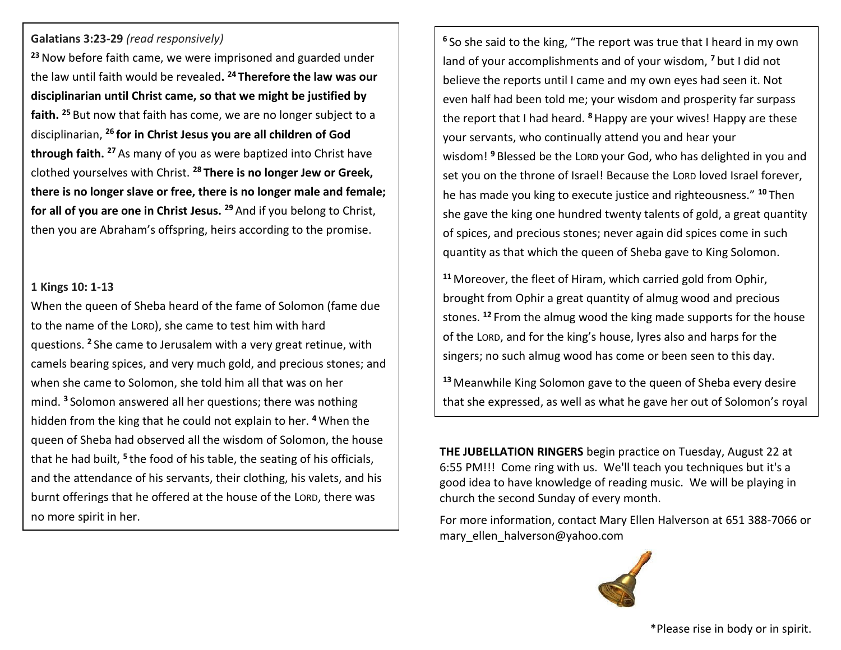# **Galatians 3:23-29** *(read responsively)*

**<sup>23</sup>**Now before faith came, we were imprisoned and guarded under the law until faith would be revealed**. <sup>24</sup> Therefore the law was our disciplinarian until Christ came, so that we might be justified by faith. <sup>25</sup>** But now that faith has come, we are no longer subject to a disciplinarian, **<sup>26</sup> for in Christ Jesus you are all children of God through faith. <sup>27</sup>** As many of you as were baptized into Christ have clothed yourselves with Christ. **<sup>28</sup> There is no longer Jew or Greek, there is no longer slave or free, there is no longer male and female; for all of you are one in Christ Jesus. <sup>29</sup>** And if you belong to Christ, then you are Abraham's offspring, heirs according to the promise.

## **1 Kings 10: 1-13**

When the queen of Sheba heard of the fame of Solomon (fame due to the name of the LORD), she came to test him with hard questions. **<sup>2</sup>** She came to Jerusalem with a very great retinue, with camels bearing spices, and very much gold, and precious stones; and when she came to Solomon, she told him all that was on her mind. **<sup>3</sup>** Solomon answered all her questions; there was nothing hidden from the king that he could not explain to her. **<sup>4</sup>** When the queen of Sheba had observed all the wisdom of Solomon, the house that he had built, **<sup>5</sup>** the food of his table, the seating of his officials, and the attendance of his servants, their clothing, his valets, and his burnt offerings that he offered at the house of the LORD, there was no more spirit in her.

**<sup>6</sup>** So she said to the king, "The report was true that I heard in my own land of your accomplishments and of your wisdom, **<sup>7</sup>** but I did not believe the reports until I came and my own eyes had seen it. Not even half had been told me; your wisdom and prosperity far surpass the report that I had heard. **<sup>8</sup>**Happy are your wives! Happy are these your servants, who continually attend you and hear your wisdom! **<sup>9</sup>** Blessed be the LORD your God, who has delighted in you and set you on the throne of Israel! Because the LORD loved Israel forever, he has made you king to execute justice and righteousness." **<sup>10</sup>** Then she gave the king one hundred twenty talents of gold, a great quantity of spices, and precious stones; never again did spices come in such quantity as that which the queen of Sheba gave to King Solomon.

**<sup>11</sup>** Moreover, the fleet of Hiram, which carried gold from Ophir, brought from Ophir a great quantity of almug wood and precious stones. **<sup>12</sup>** From the almug wood the king made supports for the house of the LORD, and for the king's house, lyres also and harps for the singers; no such almug wood has come or been seen to this day.

**<sup>13</sup>** Meanwhile King Solomon gave to the queen of Sheba every desire that she expressed, as well as what he gave her out of Solomon's royal

**THE JUBELLATION RINGERS** begin practice on Tuesday, August 22 at 6:55 PM!!! Come ring with us. We'll teach you techniques but it's a good idea to have knowledge of reading music. We will be playing in church the second Sunday of every month.

bounty. Then she returned to her own land, with her servants.

For more information, contact Mary Ellen Halverson at 651 388-7066 or mary ellen halverson@yahoo.com